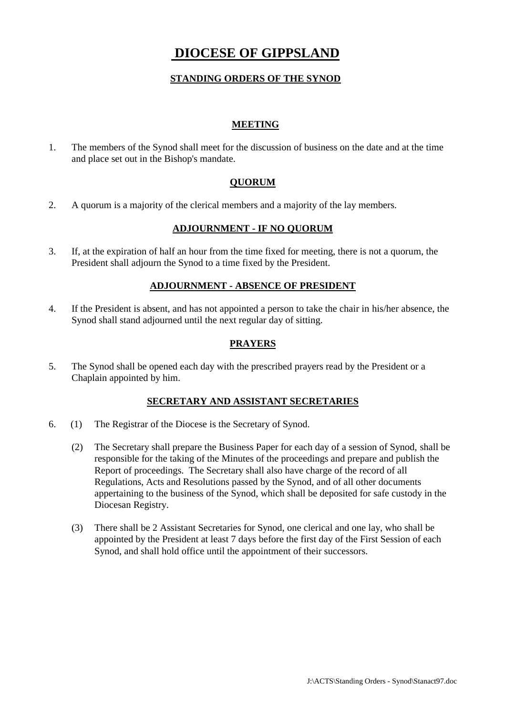# **DIOCESE OF GIPPSLAND**

# **STANDING ORDERS OF THE SYNOD**

# **MEETING**

1. The members of the Synod shall meet for the discussion of business on the date and at the time and place set out in the Bishop's mandate.

# **QUORUM**

2. A quorum is a majority of the clerical members and a majority of the lay members.

## **ADJOURNMENT - IF NO QUORUM**

3. If, at the expiration of half an hour from the time fixed for meeting, there is not a quorum, the President shall adjourn the Synod to a time fixed by the President.

#### **ADJOURNMENT - ABSENCE OF PRESIDENT**

4. If the President is absent, and has not appointed a person to take the chair in his/her absence, the Synod shall stand adjourned until the next regular day of sitting.

## **PRAYERS**

5. The Synod shall be opened each day with the prescribed prayers read by the President or a Chaplain appointed by him.

#### **SECRETARY AND ASSISTANT SECRETARIES**

- 6. (1) The Registrar of the Diocese is the Secretary of Synod.
	- (2) The Secretary shall prepare the Business Paper for each day of a session of Synod, shall be responsible for the taking of the Minutes of the proceedings and prepare and publish the Report of proceedings. The Secretary shall also have charge of the record of all Regulations, Acts and Resolutions passed by the Synod, and of all other documents appertaining to the business of the Synod, which shall be deposited for safe custody in the Diocesan Registry.
	- (3) There shall be 2 Assistant Secretaries for Synod, one clerical and one lay, who shall be appointed by the President at least 7 days before the first day of the First Session of each Synod, and shall hold office until the appointment of their successors.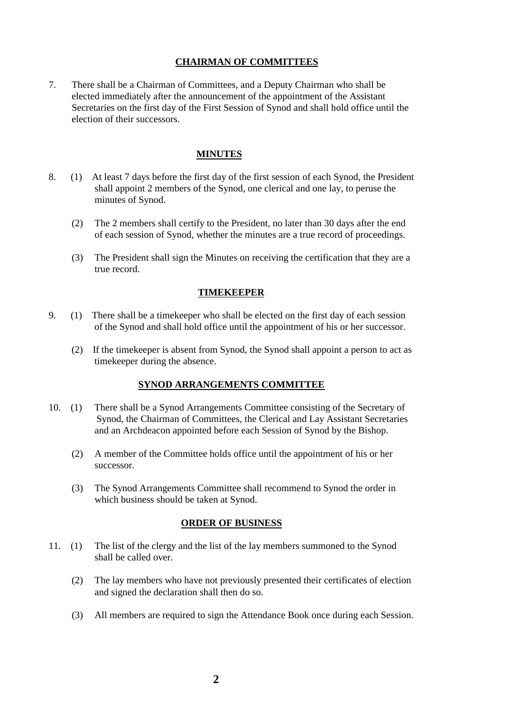#### **CHAIRMAN OF COMMITTEES**

7. There shall be a Chairman of Committees, and a Deputy Chairman who shall be elected immediately after the announcement of the appointment of the Assistant Secretaries on the first day of the First Session of Synod and shall hold office until the election of their successors.

#### **MINUTES**

- 8. (1) At least 7 days before the first day of the first session of each Synod, the President shall appoint 2 members of the Synod, one clerical and one lay, to peruse the minutes of Synod.
	- (2) The 2 members shall certify to the President, no later than 30 days after the end of each session of Synod, whether the minutes are a true record of proceedings.
	- (3) The President shall sign the Minutes on receiving the certification that they are a true record.

#### **TIMEKEEPER**

- 9. (1) There shall be a timekeeper who shall be elected on the first day of each session of the Synod and shall hold office until the appointment of his or her successor.
	- (2) If the timekeeper is absent from Synod, the Synod shall appoint a person to act as timekeeper during the absence.

#### **SYNOD ARRANGEMENTS COMMITTEE**

- 10. (1) There shall be a Synod Arrangements Committee consisting of the Secretary of Synod, the Chairman of Committees, the Clerical and Lay Assistant Secretaries and an Archdeacon appointed before each Session of Synod by the Bishop.
	- (2) A member of the Committee holds office until the appointment of his or her successor.
	- (3) The Synod Arrangements Committee shall recommend to Synod the order in which business should be taken at Synod.

#### **ORDER OF BUSINESS**

- 11. (1) The list of the clergy and the list of the lay members summoned to the Synod shall be called over.
	- (2) The lay members who have not previously presented their certificates of election and signed the declaration shall then do so.
	- (3) All members are required to sign the Attendance Book once during each Session.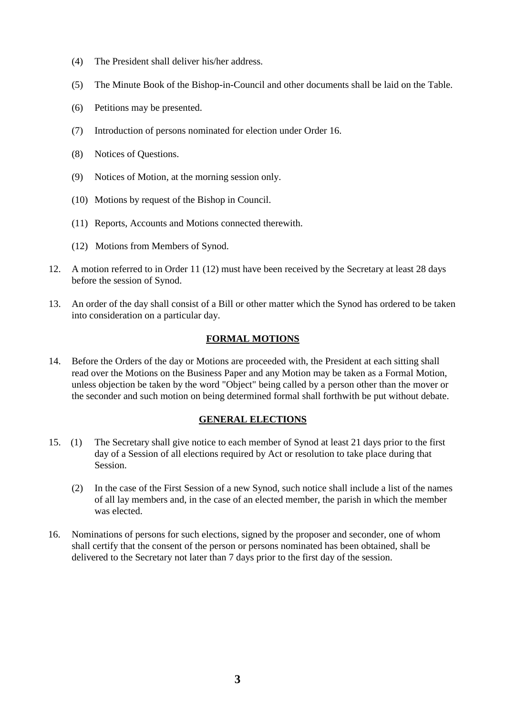- (4) The President shall deliver his/her address.
- (5) The Minute Book of the Bishop-in-Council and other documents shall be laid on the Table.
- (6) Petitions may be presented.
- (7) Introduction of persons nominated for election under Order 16.
- (8) Notices of Questions.
- (9) Notices of Motion, at the morning session only.
- (10) Motions by request of the Bishop in Council.
- (11) Reports, Accounts and Motions connected therewith.
- (12) Motions from Members of Synod.
- 12. A motion referred to in Order 11 (12) must have been received by the Secretary at least 28 days before the session of Synod.
- 13. An order of the day shall consist of a Bill or other matter which the Synod has ordered to be taken into consideration on a particular day.

# **FORMAL MOTIONS**

14. Before the Orders of the day or Motions are proceeded with, the President at each sitting shall read over the Motions on the Business Paper and any Motion may be taken as a Formal Motion, unless objection be taken by the word "Object" being called by a person other than the mover or the seconder and such motion on being determined formal shall forthwith be put without debate.

# **GENERAL ELECTIONS**

- 15. (1) The Secretary shall give notice to each member of Synod at least 21 days prior to the first day of a Session of all elections required by Act or resolution to take place during that Session.
	- (2) In the case of the First Session of a new Synod, such notice shall include a list of the names of all lay members and, in the case of an elected member, the parish in which the member was elected.
- 16. Nominations of persons for such elections, signed by the proposer and seconder, one of whom shall certify that the consent of the person or persons nominated has been obtained, shall be delivered to the Secretary not later than 7 days prior to the first day of the session.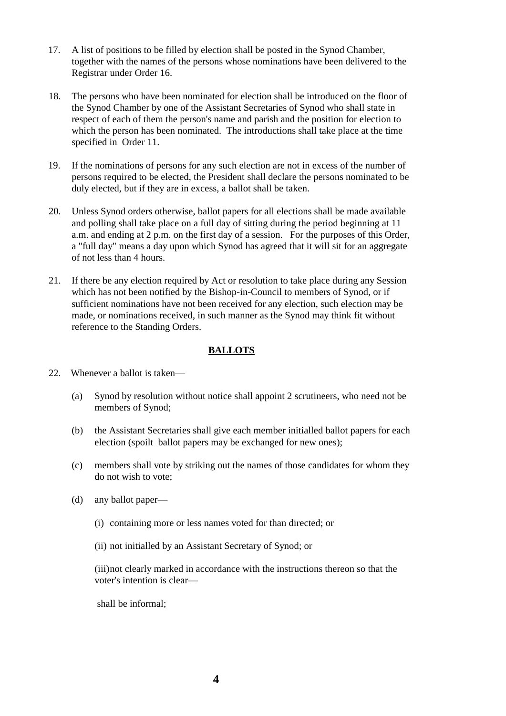- 17. A list of positions to be filled by election shall be posted in the Synod Chamber, together with the names of the persons whose nominations have been delivered to the Registrar under Order 16.
- 18. The persons who have been nominated for election shall be introduced on the floor of the Synod Chamber by one of the Assistant Secretaries of Synod who shall state in respect of each of them the person's name and parish and the position for election to which the person has been nominated. The introductions shall take place at the time specified in Order 11.
- 19. If the nominations of persons for any such election are not in excess of the number of persons required to be elected, the President shall declare the persons nominated to be duly elected, but if they are in excess, a ballot shall be taken.
- 20. Unless Synod orders otherwise, ballot papers for all elections shall be made available and polling shall take place on a full day of sitting during the period beginning at 11 a.m. and ending at 2 p.m. on the first day of a session. For the purposes of this Order, a "full day" means a day upon which Synod has agreed that it will sit for an aggregate of not less than 4 hours.
- 21. If there be any election required by Act or resolution to take place during any Session which has not been notified by the Bishop-in-Council to members of Synod, or if sufficient nominations have not been received for any election, such election may be made, or nominations received, in such manner as the Synod may think fit without reference to the Standing Orders.

# **BALLOTS**

- 22. Whenever a ballot is taken—
	- (a) Synod by resolution without notice shall appoint 2 scrutineers, who need not be members of Synod;
	- (b) the Assistant Secretaries shall give each member initialled ballot papers for each election (spoilt ballot papers may be exchanged for new ones);
	- (c) members shall vote by striking out the names of those candidates for whom they do not wish to vote;
	- (d) any ballot paper—
		- (i) containing more or less names voted for than directed; or
		- (ii) not initialled by an Assistant Secretary of Synod; or

(iii)not clearly marked in accordance with the instructions thereon so that the voter's intention is clear—

shall be informal;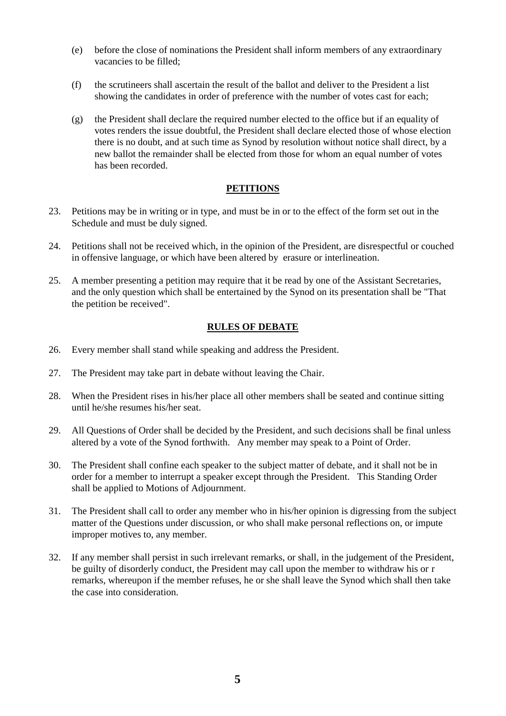- (e) before the close of nominations the President shall inform members of any extraordinary vacancies to be filled;
- (f) the scrutineers shall ascertain the result of the ballot and deliver to the President a list showing the candidates in order of preference with the number of votes cast for each;
- (g) the President shall declare the required number elected to the office but if an equality of votes renders the issue doubtful, the President shall declare elected those of whose election there is no doubt, and at such time as Synod by resolution without notice shall direct, by a new ballot the remainder shall be elected from those for whom an equal number of votes has been recorded.

# **PETITIONS**

- 23. Petitions may be in writing or in type, and must be in or to the effect of the form set out in the Schedule and must be duly signed.
- 24. Petitions shall not be received which, in the opinion of the President, are disrespectful or couched in offensive language, or which have been altered by erasure or interlineation.
- 25. A member presenting a petition may require that it be read by one of the Assistant Secretaries, and the only question which shall be entertained by the Synod on its presentation shall be "That the petition be received".

# **RULES OF DEBATE**

- 26. Every member shall stand while speaking and address the President.
- 27. The President may take part in debate without leaving the Chair.
- 28. When the President rises in his/her place all other members shall be seated and continue sitting until he/she resumes his/her seat.
- 29. All Questions of Order shall be decided by the President, and such decisions shall be final unless altered by a vote of the Synod forthwith. Any member may speak to a Point of Order.
- 30. The President shall confine each speaker to the subject matter of debate, and it shall not be in order for a member to interrupt a speaker except through the President. This Standing Order shall be applied to Motions of Adjournment.
- 31. The President shall call to order any member who in his/her opinion is digressing from the subject matter of the Questions under discussion, or who shall make personal reflections on, or impute improper motives to, any member.
- 32. If any member shall persist in such irrelevant remarks, or shall, in the judgement of the President, be guilty of disorderly conduct, the President may call upon the member to withdraw his or r remarks, whereupon if the member refuses, he or she shall leave the Synod which shall then take the case into consideration.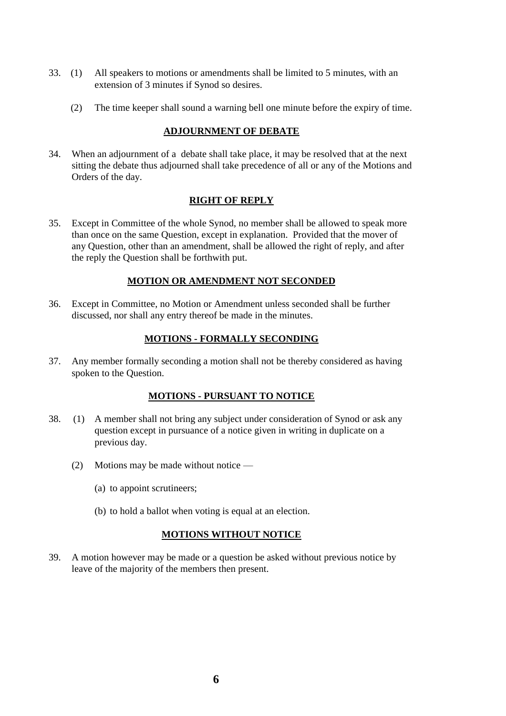- 33. (1) All speakers to motions or amendments shall be limited to 5 minutes, with an extension of 3 minutes if Synod so desires.
	- (2) The time keeper shall sound a warning bell one minute before the expiry of time.

## **ADJOURNMENT OF DEBATE**

34. When an adjournment of a debate shall take place, it may be resolved that at the next sitting the debate thus adjourned shall take precedence of all or any of the Motions and Orders of the day.

## **RIGHT OF REPLY**

35. Except in Committee of the whole Synod, no member shall be allowed to speak more than once on the same Question, except in explanation. Provided that the mover of any Question, other than an amendment, shall be allowed the right of reply, and after the reply the Question shall be forthwith put.

## **MOTION OR AMENDMENT NOT SECONDED**

36. Except in Committee, no Motion or Amendment unless seconded shall be further discussed, nor shall any entry thereof be made in the minutes.

# **MOTIONS - FORMALLY SECONDING**

37. Any member formally seconding a motion shall not be thereby considered as having spoken to the Question.

## **MOTIONS - PURSUANT TO NOTICE**

- 38. (1) A member shall not bring any subject under consideration of Synod or ask any question except in pursuance of a notice given in writing in duplicate on a previous day.
	- (2) Motions may be made without notice
		- (a) to appoint scrutineers;
		- (b) to hold a ballot when voting is equal at an election.

## **MOTIONS WITHOUT NOTICE**

39. A motion however may be made or a question be asked without previous notice by leave of the majority of the members then present.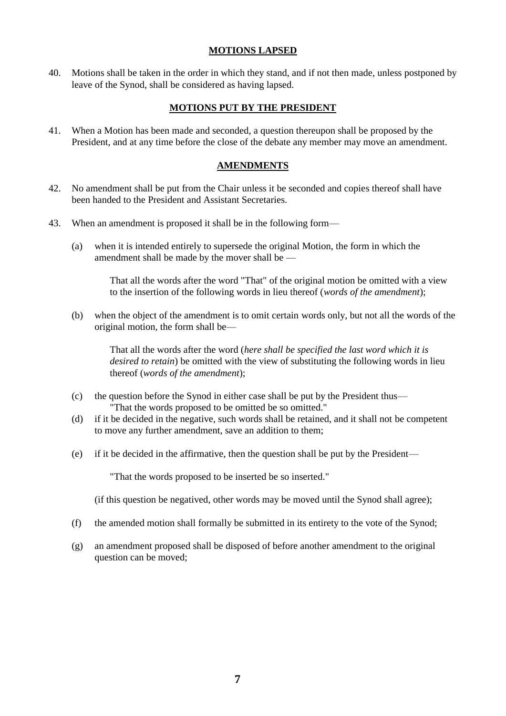## **MOTIONS LAPSED**

40. Motions shall be taken in the order in which they stand, and if not then made, unless postponed by leave of the Synod, shall be considered as having lapsed.

## **MOTIONS PUT BY THE PRESIDENT**

41. When a Motion has been made and seconded, a question thereupon shall be proposed by the President, and at any time before the close of the debate any member may move an amendment.

#### **AMENDMENTS**

- 42. No amendment shall be put from the Chair unless it be seconded and copies thereof shall have been handed to the President and Assistant Secretaries.
- 43. When an amendment is proposed it shall be in the following form—
	- (a) when it is intended entirely to supersede the original Motion, the form in which the amendment shall be made by the mover shall be —

That all the words after the word "That" of the original motion be omitted with a view to the insertion of the following words in lieu thereof (*words of the amendment*);

(b) when the object of the amendment is to omit certain words only, but not all the words of the original motion, the form shall be—

> That all the words after the word (*here shall be specified the last word which it is desired to retain*) be omitted with the view of substituting the following words in lieu thereof (*words of the amendment*);

- (c) the question before the Synod in either case shall be put by the President thus— "That the words proposed to be omitted be so omitted."
- (d) if it be decided in the negative, such words shall be retained, and it shall not be competent to move any further amendment, save an addition to them;
- (e) if it be decided in the affirmative, then the question shall be put by the President—

"That the words proposed to be inserted be so inserted."

(if this question be negatived, other words may be moved until the Synod shall agree);

- (f) the amended motion shall formally be submitted in its entirety to the vote of the Synod;
- (g) an amendment proposed shall be disposed of before another amendment to the original question can be moved;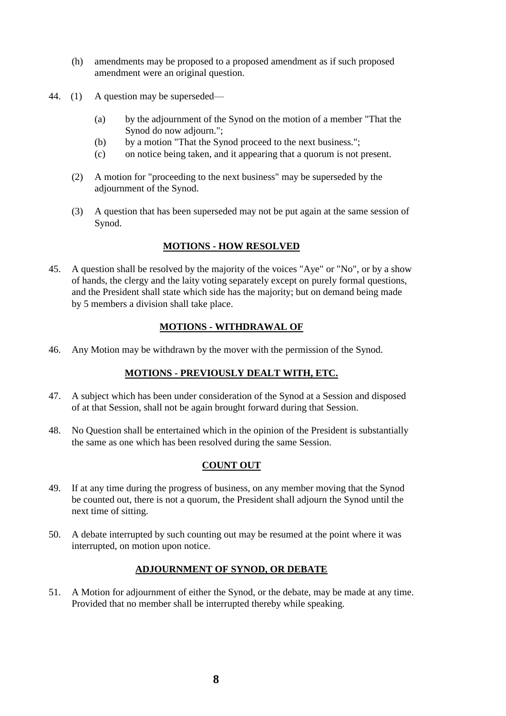- (h) amendments may be proposed to a proposed amendment as if such proposed amendment were an original question.
- 44. (1) A question may be superseded—
	- (a) by the adjournment of the Synod on the motion of a member "That the Synod do now adjourn.";
	- (b) by a motion "That the Synod proceed to the next business.";
	- (c) on notice being taken, and it appearing that a quorum is not present.
	- (2) A motion for "proceeding to the next business" may be superseded by the adjournment of the Synod.
	- (3) A question that has been superseded may not be put again at the same session of Synod.

## **MOTIONS - HOW RESOLVED**

45. A question shall be resolved by the majority of the voices "Aye" or "No", or by a show of hands, the clergy and the laity voting separately except on purely formal questions, and the President shall state which side has the majority; but on demand being made by 5 members a division shall take place.

## **MOTIONS - WITHDRAWAL OF**

46. Any Motion may be withdrawn by the mover with the permission of the Synod.

## **MOTIONS - PREVIOUSLY DEALT WITH, ETC.**

- 47. A subject which has been under consideration of the Synod at a Session and disposed of at that Session, shall not be again brought forward during that Session.
- 48. No Question shall be entertained which in the opinion of the President is substantially the same as one which has been resolved during the same Session.

# **COUNT OUT**

- 49. If at any time during the progress of business, on any member moving that the Synod be counted out, there is not a quorum, the President shall adjourn the Synod until the next time of sitting.
- 50. A debate interrupted by such counting out may be resumed at the point where it was interrupted, on motion upon notice.

#### **ADJOURNMENT OF SYNOD, OR DEBATE**

51. A Motion for adjournment of either the Synod, or the debate, may be made at any time. Provided that no member shall be interrupted thereby while speaking.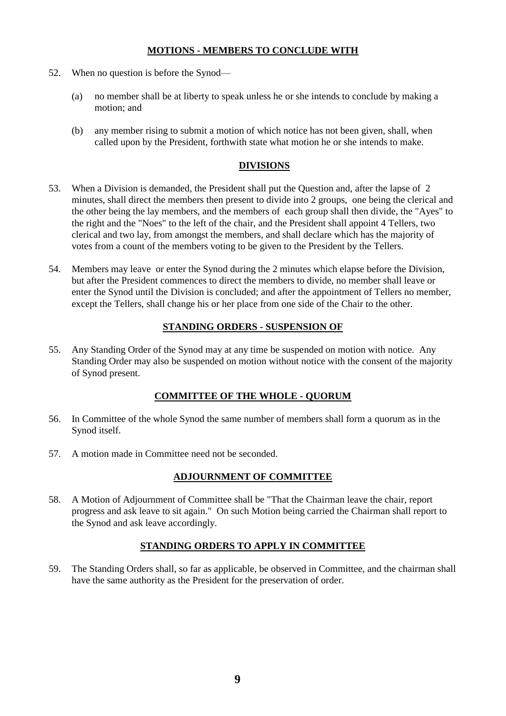## **MOTIONS - MEMBERS TO CONCLUDE WITH**

- 52. When no question is before the Synod—
	- (a) no member shall be at liberty to speak unless he or she intends to conclude by making a motion; and
	- (b) any member rising to submit a motion of which notice has not been given, shall, when called upon by the President, forthwith state what motion he or she intends to make.

#### **DIVISIONS**

- 53. When a Division is demanded, the President shall put the Question and, after the lapse of 2 minutes, shall direct the members then present to divide into 2 groups, one being the clerical and the other being the lay members, and the members of each group shall then divide, the "Ayes" to the right and the "Noes" to the left of the chair, and the President shall appoint 4 Tellers, two clerical and two lay, from amongst the members, and shall declare which has the majority of votes from a count of the members voting to be given to the President by the Tellers.
- 54. Members may leave or enter the Synod during the 2 minutes which elapse before the Division, but after the President commences to direct the members to divide, no member shall leave or enter the Synod until the Division is concluded; and after the appointment of Tellers no member, except the Tellers, shall change his or her place from one side of the Chair to the other.

## **STANDING ORDERS - SUSPENSION OF**

55. Any Standing Order of the Synod may at any time be suspended on motion with notice. Any Standing Order may also be suspended on motion without notice with the consent of the majority of Synod present.

## **COMMITTEE OF THE WHOLE - QUORUM**

- 56. In Committee of the whole Synod the same number of members shall form a quorum as in the Synod itself.
- 57. A motion made in Committee need not be seconded.

## **ADJOURNMENT OF COMMITTEE**

58. A Motion of Adjournment of Committee shall be "That the Chairman leave the chair, report progress and ask leave to sit again." On such Motion being carried the Chairman shall report to the Synod and ask leave accordingly.

#### **STANDING ORDERS TO APPLY IN COMMITTEE**

59. The Standing Orders shall, so far as applicable, be observed in Committee, and the chairman shall have the same authority as the President for the preservation of order.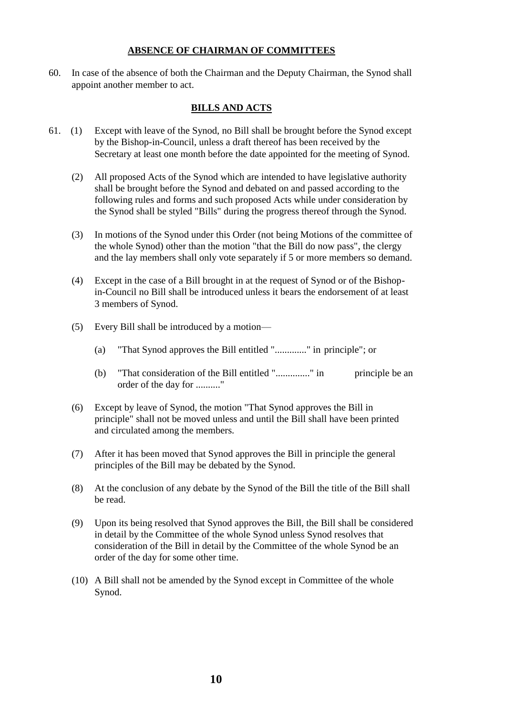#### **ABSENCE OF CHAIRMAN OF COMMITTEES**

60. In case of the absence of both the Chairman and the Deputy Chairman, the Synod shall appoint another member to act.

#### **BILLS AND ACTS**

- 61. (1) Except with leave of the Synod, no Bill shall be brought before the Synod except by the Bishop-in-Council, unless a draft thereof has been received by the Secretary at least one month before the date appointed for the meeting of Synod.
	- (2) All proposed Acts of the Synod which are intended to have legislative authority shall be brought before the Synod and debated on and passed according to the following rules and forms and such proposed Acts while under consideration by the Synod shall be styled "Bills" during the progress thereof through the Synod.
	- (3) In motions of the Synod under this Order (not being Motions of the committee of the whole Synod) other than the motion "that the Bill do now pass", the clergy and the lay members shall only vote separately if 5 or more members so demand.
	- (4) Except in the case of a Bill brought in at the request of Synod or of the Bishopin-Council no Bill shall be introduced unless it bears the endorsement of at least 3 members of Synod.
	- (5) Every Bill shall be introduced by a motion—
		- (a) "That Synod approves the Bill entitled "............." in principle"; or
		- (b) "That consideration of the Bill entitled "................" in principle be an order of the day for .........."
	- (6) Except by leave of Synod, the motion "That Synod approves the Bill in principle" shall not be moved unless and until the Bill shall have been printed and circulated among the members.
	- (7) After it has been moved that Synod approves the Bill in principle the general principles of the Bill may be debated by the Synod.
	- (8) At the conclusion of any debate by the Synod of the Bill the title of the Bill shall be read.
	- (9) Upon its being resolved that Synod approves the Bill, the Bill shall be considered in detail by the Committee of the whole Synod unless Synod resolves that consideration of the Bill in detail by the Committee of the whole Synod be an order of the day for some other time.
	- (10) A Bill shall not be amended by the Synod except in Committee of the whole Synod.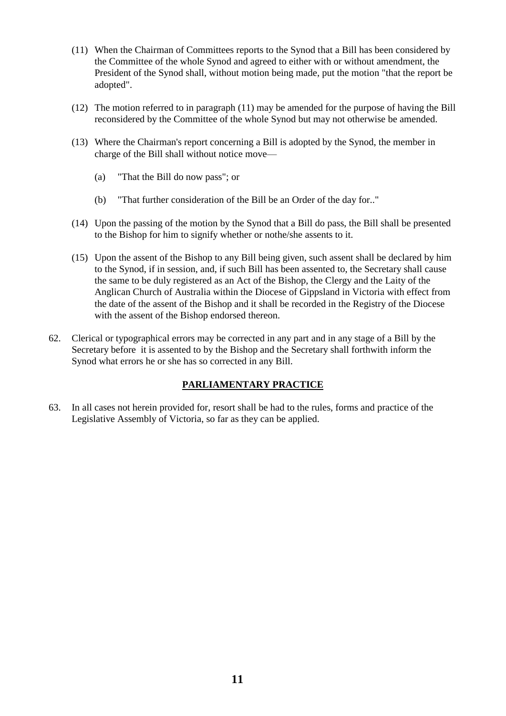- (11) When the Chairman of Committees reports to the Synod that a Bill has been considered by the Committee of the whole Synod and agreed to either with or without amendment, the President of the Synod shall, without motion being made, put the motion "that the report be adopted".
- (12) The motion referred to in paragraph (11) may be amended for the purpose of having the Bill reconsidered by the Committee of the whole Synod but may not otherwise be amended.
- (13) Where the Chairman's report concerning a Bill is adopted by the Synod, the member in charge of the Bill shall without notice move—
	- (a) "That the Bill do now pass"; or
	- (b) "That further consideration of the Bill be an Order of the day for.."
- (14) Upon the passing of the motion by the Synod that a Bill do pass, the Bill shall be presented to the Bishop for him to signify whether or nothe/she assents to it.
- (15) Upon the assent of the Bishop to any Bill being given, such assent shall be declared by him to the Synod, if in session, and, if such Bill has been assented to, the Secretary shall cause the same to be duly registered as an Act of the Bishop, the Clergy and the Laity of the Anglican Church of Australia within the Diocese of Gippsland in Victoria with effect from the date of the assent of the Bishop and it shall be recorded in the Registry of the Diocese with the assent of the Bishop endorsed thereon.
- 62. Clerical or typographical errors may be corrected in any part and in any stage of a Bill by the Secretary before it is assented to by the Bishop and the Secretary shall forthwith inform the Synod what errors he or she has so corrected in any Bill.

# **PARLIAMENTARY PRACTICE**

63. In all cases not herein provided for, resort shall be had to the rules, forms and practice of the Legislative Assembly of Victoria, so far as they can be applied.